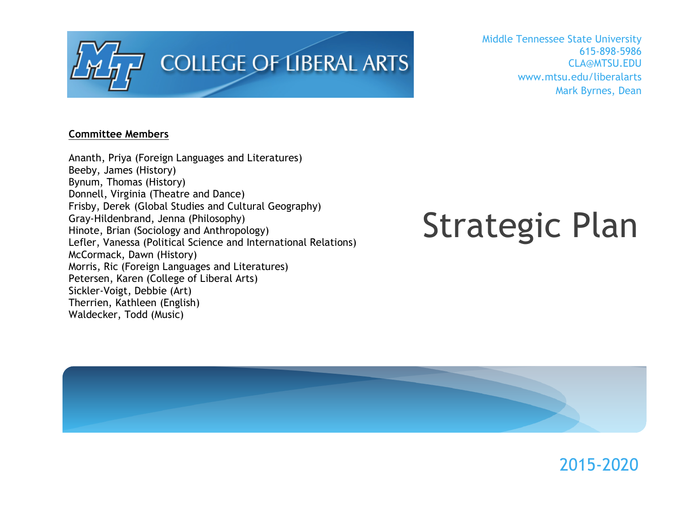

Middle Tennessee State University 615-898-5986 CLA@MTSU.EDU www.mtsu.edu/liberalarts Mark Byrnes, Dean

### **Committee Members**

Ananth, Priya (Foreign Languages and Literatures) Beeby, James (History) Bynum, Thomas (History) Donnell, Virginia (Theatre and Dance) Frisby, Derek (Global Studies and Cultural Geography) Gray-Hildenbrand, Jenna (Philosophy) Hinote, Brian (Sociology and Anthropology) Lefler, Vanessa (Political Science and International Relations) McCormack, Dawn (History) Morris, Ric (Foreign Languages and Literatures) Petersen, Karen (College of Liberal Arts) Sickler-Voigt, Debbie (Art) Therrien, Kathleen (English) Waldecker, Todd (Music)

# Strategic Plan

2015-2020

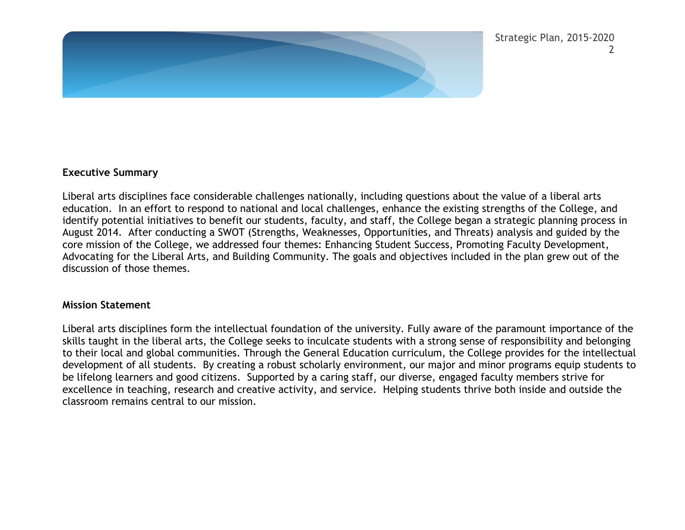

#### **Executive Summary**

Liberal arts disciplines face considerable challenges nationally, including questions about the value of a liberal arts education. In an effort to respond to national and local challenges, enhance the existing strengths of the College, and identify potential initiatives to benefit our students, faculty, and staff, the College began a strategic planning process in August 2014. After conducting a SWOT (Strengths, Weaknesses, Opportunities, and Threats) analysis and guided by the core mission of the College, we addressed four themes: Enhancing Student Success, Promoting Faculty Development, Advocating for the Liberal Arts, and Building Community. The goals and objectives included in the plan grew out of the discussion of those themes.

#### **Mission Statement**

Liberal arts disciplines form the intellectual foundation of the university. Fully aware of the paramount importance of the skills taught in the liberal arts, the College seeks to inculcate students with a strong sense of responsibility and belonging to their local and global communities. Through the General Education curriculum, the College provides for the intellectual development of all students. By creating a robust scholarly environment, our major and minor programs equip students to be lifelong learners and good citizens. Supported by a caring staff, our diverse, engaged faculty members strive for excellence in teaching, research and creative activity, and service. Helping students thrive both inside and outside the classroom remains central to our mission.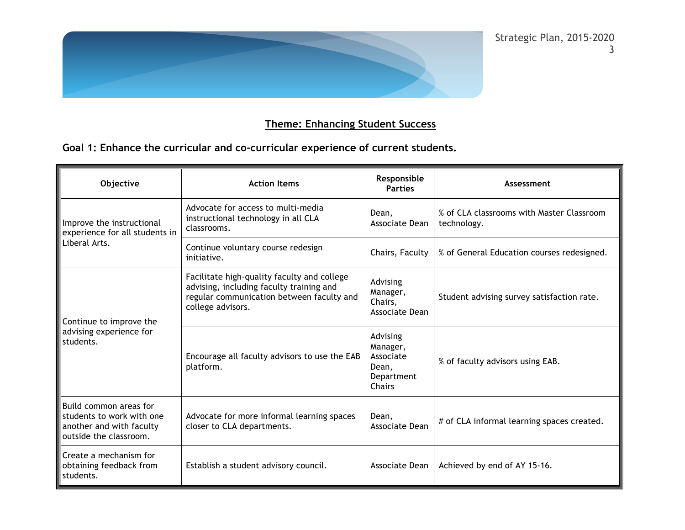

## **Theme: Enhancing Student Success**

**Goal 1: Enhance the curricular and co-curricular experience of current students.**

| Objective                                                                                                 | <b>Action Items</b>                                                                                                                                       | Responsible<br><b>Parties</b>                                      | Assessment                                               |
|-----------------------------------------------------------------------------------------------------------|-----------------------------------------------------------------------------------------------------------------------------------------------------------|--------------------------------------------------------------------|----------------------------------------------------------|
| Improve the instructional<br>experience for all students in<br>Liberal Arts.                              | Advocate for access to multi-media<br>instructional technology in all CLA<br>classrooms.                                                                  | Dean.<br>Associate Dean                                            | % of CLA classrooms with Master Classroom<br>technology. |
|                                                                                                           | Continue voluntary course redesign<br>initiative.                                                                                                         | Chairs, Faculty                                                    | % of General Education courses redesigned.               |
| Continue to improve the<br>advising experience for<br>students.                                           | Facilitate high-quality faculty and college<br>advising, including faculty training and<br>regular communication between faculty and<br>college advisors. | Advising<br>Manager,<br>Chairs,<br>Associate Dean                  | Student advising survey satisfaction rate.               |
|                                                                                                           | Encourage all faculty advisors to use the EAB<br>platform.                                                                                                | Advising<br>Manager,<br>Associate<br>Dean,<br>Department<br>Chairs | % of faculty advisors using EAB.                         |
| Build common areas for<br>students to work with one<br>another and with faculty<br>outside the classroom. | Advocate for more informal learning spaces<br>closer to CLA departments.                                                                                  | Dean.<br>Associate Dean                                            | # of CLA informal learning spaces created.               |
| Create a mechanism for<br>obtaining feedback from<br>students.                                            | Establish a student advisory council.                                                                                                                     | Associate Dean                                                     | Achieved by end of AY 15-16.                             |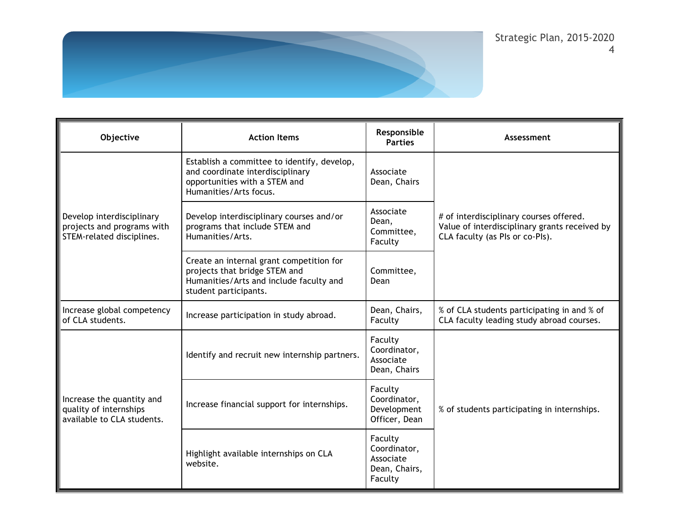

| Objective                                                                            | <b>Action Items</b>                                                                                                                           | Responsible<br><b>Parties</b>                                    | Assessment                                                                                                                  |
|--------------------------------------------------------------------------------------|-----------------------------------------------------------------------------------------------------------------------------------------------|------------------------------------------------------------------|-----------------------------------------------------------------------------------------------------------------------------|
| Develop interdisciplinary<br>projects and programs with<br>STEM-related disciplines. | Establish a committee to identify, develop,<br>and coordinate interdisciplinary<br>opportunities with a STEM and<br>Humanities/Arts focus.    | Associate<br>Dean, Chairs                                        | # of interdisciplinary courses offered.<br>Value of interdisciplinary grants received by<br>CLA faculty (as PIs or co-PIs). |
|                                                                                      | Develop interdisciplinary courses and/or<br>programs that include STEM and<br>Humanities/Arts.                                                | Associate<br>Dean,<br>Committee,<br>Faculty                      |                                                                                                                             |
|                                                                                      | Create an internal grant competition for<br>projects that bridge STEM and<br>Humanities/Arts and include faculty and<br>student participants. | Committee,<br>Dean                                               |                                                                                                                             |
| Increase global competency<br>of CLA students.                                       | Increase participation in study abroad.                                                                                                       | Dean, Chairs,<br>Faculty                                         | % of CLA students participating in and % of<br>CLA faculty leading study abroad courses.                                    |
| Increase the quantity and<br>quality of internships<br>available to CLA students.    | Identify and recruit new internship partners.                                                                                                 | Faculty<br>Coordinator,<br>Associate<br>Dean, Chairs             |                                                                                                                             |
|                                                                                      | Increase financial support for internships.                                                                                                   | Faculty<br>Coordinator,<br>Development<br>Officer, Dean          | % of students participating in internships.                                                                                 |
|                                                                                      | Highlight available internships on CLA<br>website.                                                                                            | Faculty<br>Coordinator,<br>Associate<br>Dean, Chairs,<br>Faculty |                                                                                                                             |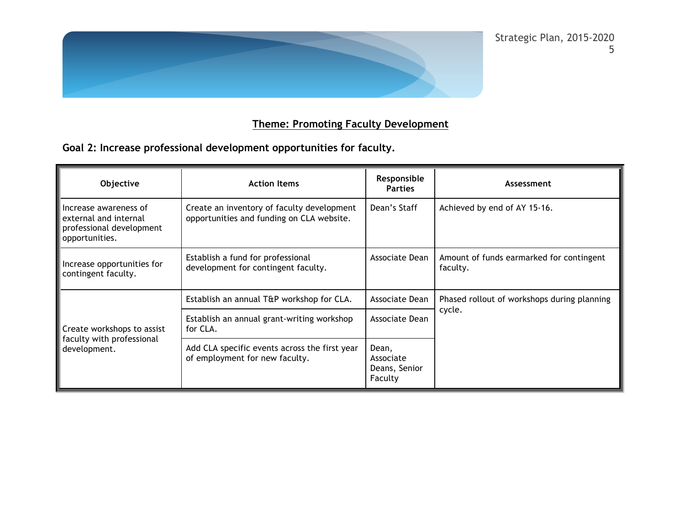

# **Theme: Promoting Faculty Development**

**Goal 2: Increase professional development opportunities for faculty.**

| Objective                                                                                    | <b>Action Items</b>                                                                     | Responsible<br><b>Parties</b>                  | Assessment                                            |
|----------------------------------------------------------------------------------------------|-----------------------------------------------------------------------------------------|------------------------------------------------|-------------------------------------------------------|
| Increase awareness of<br>external and internal<br>professional development<br>opportunities. | Create an inventory of faculty development<br>opportunities and funding on CLA website. | Dean's Staff                                   | Achieved by end of AY 15-16.                          |
| Increase opportunities for<br>contingent faculty.                                            | Establish a fund for professional<br>development for contingent faculty.                | Associate Dean                                 | Amount of funds earmarked for contingent<br>faculty.  |
| Create workshops to assist<br>faculty with professional<br>development.                      | Establish an annual T&P workshop for CLA.                                               | Associate Dean                                 | Phased rollout of workshops during planning<br>cycle. |
|                                                                                              | Establish an annual grant-writing workshop<br>for CLA.                                  | Associate Dean                                 |                                                       |
|                                                                                              | Add CLA specific events across the first year<br>of employment for new faculty.         | Dean,<br>Associate<br>Deans, Senior<br>Faculty |                                                       |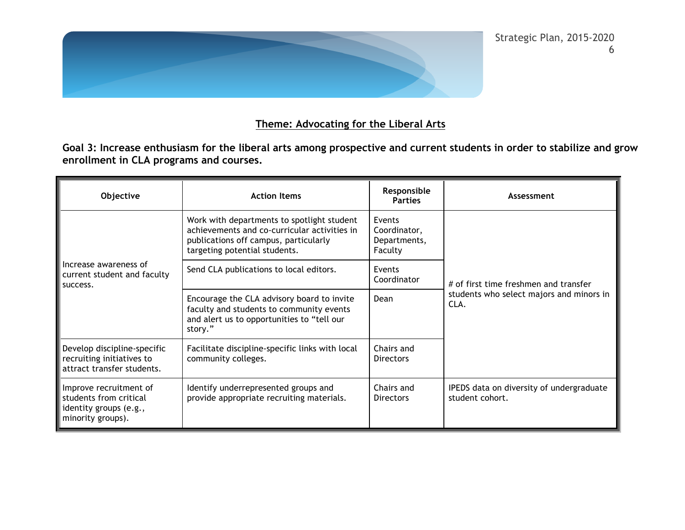

## **Theme: Advocating for the Liberal Arts**

**Goal 3: Increase enthusiasm for the liberal arts among prospective and current students in order to stabilize and grow enrollment in CLA programs and courses.**

| Objective                                                                                       | <b>Action Items</b>                                                                                                                                                  | Responsible<br><b>Parties</b>                     | Assessment                                                                                |
|-------------------------------------------------------------------------------------------------|----------------------------------------------------------------------------------------------------------------------------------------------------------------------|---------------------------------------------------|-------------------------------------------------------------------------------------------|
| Increase awareness of<br>current student and faculty<br>success.                                | Work with departments to spotlight student<br>achievements and co-curricular activities in<br>publications off campus, particularly<br>targeting potential students. | Events<br>Coordinator,<br>Departments,<br>Faculty | # of first time freshmen and transfer<br>students who select majors and minors in<br>CLA. |
|                                                                                                 | Send CLA publications to local editors.                                                                                                                              | Events<br>Coordinator                             |                                                                                           |
|                                                                                                 | Encourage the CLA advisory board to invite<br>faculty and students to community events<br>and alert us to opportunities to "tell our<br>story."                      | Dean                                              |                                                                                           |
| Develop discipline-specific<br>recruiting initiatives to<br>attract transfer students.          | Facilitate discipline-specific links with local<br>community colleges.                                                                                               | Chairs and<br>Directors                           |                                                                                           |
| Improve recruitment of<br>students from critical<br>identity groups (e.g.,<br>minority groups). | Identify underrepresented groups and<br>provide appropriate recruiting materials.                                                                                    | Chairs and<br>Directors                           | IPEDS data on diversity of undergraduate<br>student cohort.                               |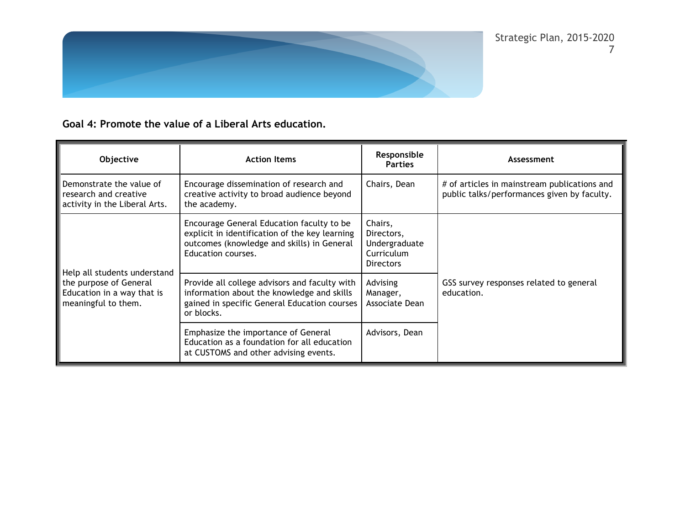

**Goal 4: Promote the value of a Liberal Arts education.**

| <b>Objective</b>                                                                                            | <b>Action Items</b>                                                                                                                                             | Responsible<br><b>Parties</b>                                            | Assessment                                                                                  |
|-------------------------------------------------------------------------------------------------------------|-----------------------------------------------------------------------------------------------------------------------------------------------------------------|--------------------------------------------------------------------------|---------------------------------------------------------------------------------------------|
| Demonstrate the value of<br>research and creative<br>activity in the Liberal Arts.                          | Encourage dissemination of research and<br>creative activity to broad audience beyond<br>the academy.                                                           | Chairs, Dean                                                             | # of articles in mainstream publications and<br>public talks/performances given by faculty. |
| Help all students understand<br>the purpose of General<br>Education in a way that is<br>meaningful to them. | Encourage General Education faculty to be<br>explicit in identification of the key learning<br>outcomes (knowledge and skills) in General<br>Education courses. | Chairs,<br>Directors,<br>Undergraduate<br>Curriculum<br><b>Directors</b> |                                                                                             |
|                                                                                                             | Provide all college advisors and faculty with<br>information about the knowledge and skills<br>gained in specific General Education courses<br>or blocks.       | Advising<br>Manager,<br>Associate Dean                                   | GSS survey responses related to general<br>education.                                       |
|                                                                                                             | Emphasize the importance of General<br>Education as a foundation for all education<br>at CUSTOMS and other advising events.                                     | Advisors, Dean                                                           |                                                                                             |